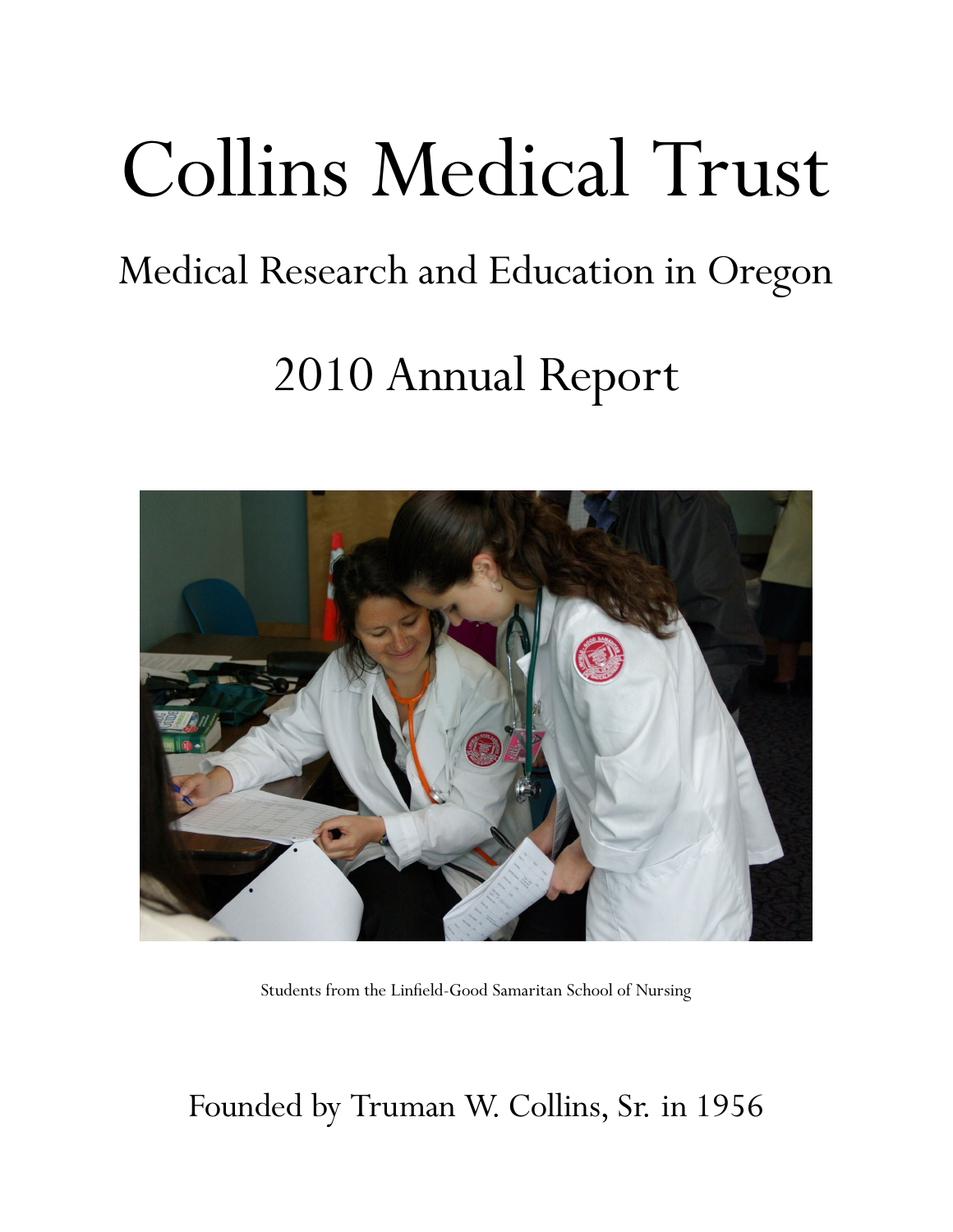# Collins Medical Trust

# Medical Research and Education in Oregon

# 2010 Annual Report



Students from the Linfield-Good Samaritan School of Nursing

# Founded by Truman W. Collins, Sr. in 1956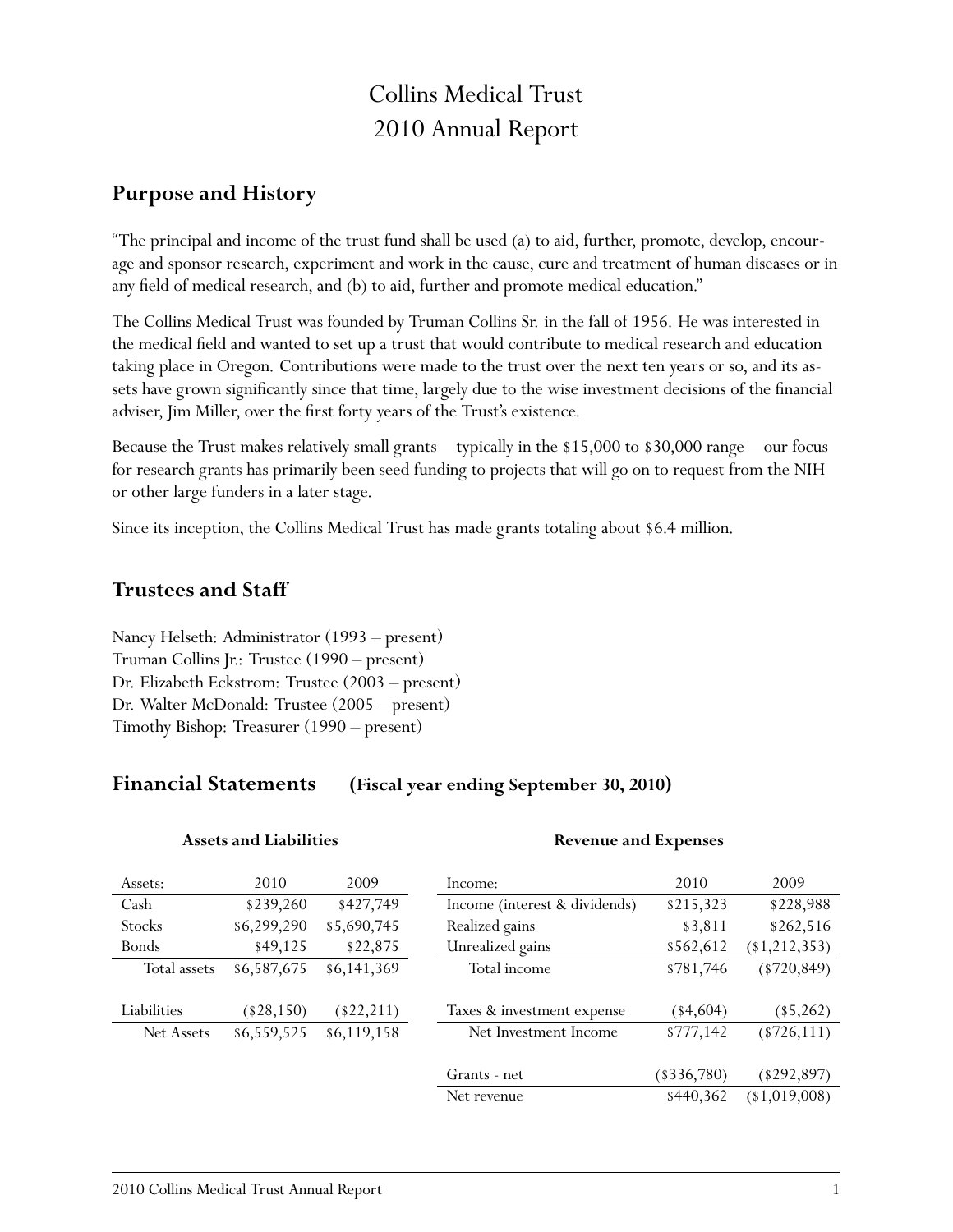# Collins Medical Trust 2010 Annual Report

### **Purpose and History**

"The principal and income of the trust fund shall be used (a) to aid, further, promote, develop, encourage and sponsor research, experiment and work in the cause, cure and treatment of human diseases or in any field of medical research, and (b) to aid, further and promote medical education."

The Collins Medical Trust was founded by Truman Collins Sr. in the fall of 1956. He was interested in the medical field and wanted to set up a trust that would contribute to medical research and education taking place in Oregon. Contributions were made to the trust over the next ten years or so, and its assets have grown significantly since that time, largely due to the wise investment decisions of the financial adviser, Jim Miller, over the first forty years of the Trust's existence.

Because the Trust makes relatively small grants—typically in the \$15,000 to \$30,000 range—our focus for research grants has primarily been seed funding to projects that will go on to request from the NIH or other large funders in a later stage.

Since its inception, the Collins Medical Trust has made grants totaling about \$6.4 million.

### **Trustees and Staff**

Nancy Helseth: Administrator (1993 – present) Truman Collins Jr.: Trustee (1990 – present) Dr. Elizabeth Eckstrom: Trustee (2003 – present) Dr. Walter McDonald: Trustee (2005 – present) Timothy Bishop: Treasurer (1990 – present)

**Assets and Liabilities**

### **Financial Statements (Fiscal year ending September 30, 2010)**

| Assets:       | 2010         | 2009         | Income:                       | 2010         | 2009           |
|---------------|--------------|--------------|-------------------------------|--------------|----------------|
| Cash          | \$239,260    | \$427,749    | Income (interest & dividends) | \$215,323    | \$228,988      |
| <b>Stocks</b> | \$6,299,290  | \$5,690,745  | Realized gains                | \$3,811      | \$262,516      |
| Bonds         | \$49,125     | \$22,875     | Unrealized gains              | \$562,612    | (1, 212, 353)  |
| Total assets  | \$6,587,675  | \$6,141,369  | Total income                  | \$781,746    | $(*720, 849)$  |
|               |              |              |                               |              |                |
| Liabilities   | $(\$28,150)$ | $(\$22,211)$ | Taxes & investment expense    | $(*4,604)$   | $(*5,262)$     |
| Net Assets    | \$6,559,525  | \$6,119,158  | Net Investment Income         | \$777,142    | $(*726,111)$   |
|               |              |              |                               |              |                |
|               |              |              | Grants - net                  | $(*336,780)$ | $(*292,897)$   |
|               |              |              | Net revenue                   | \$440,362    | $(*1,019,008)$ |

**Revenue and Expenses**

#### 2010 Collins Medical Trust Annual Report 1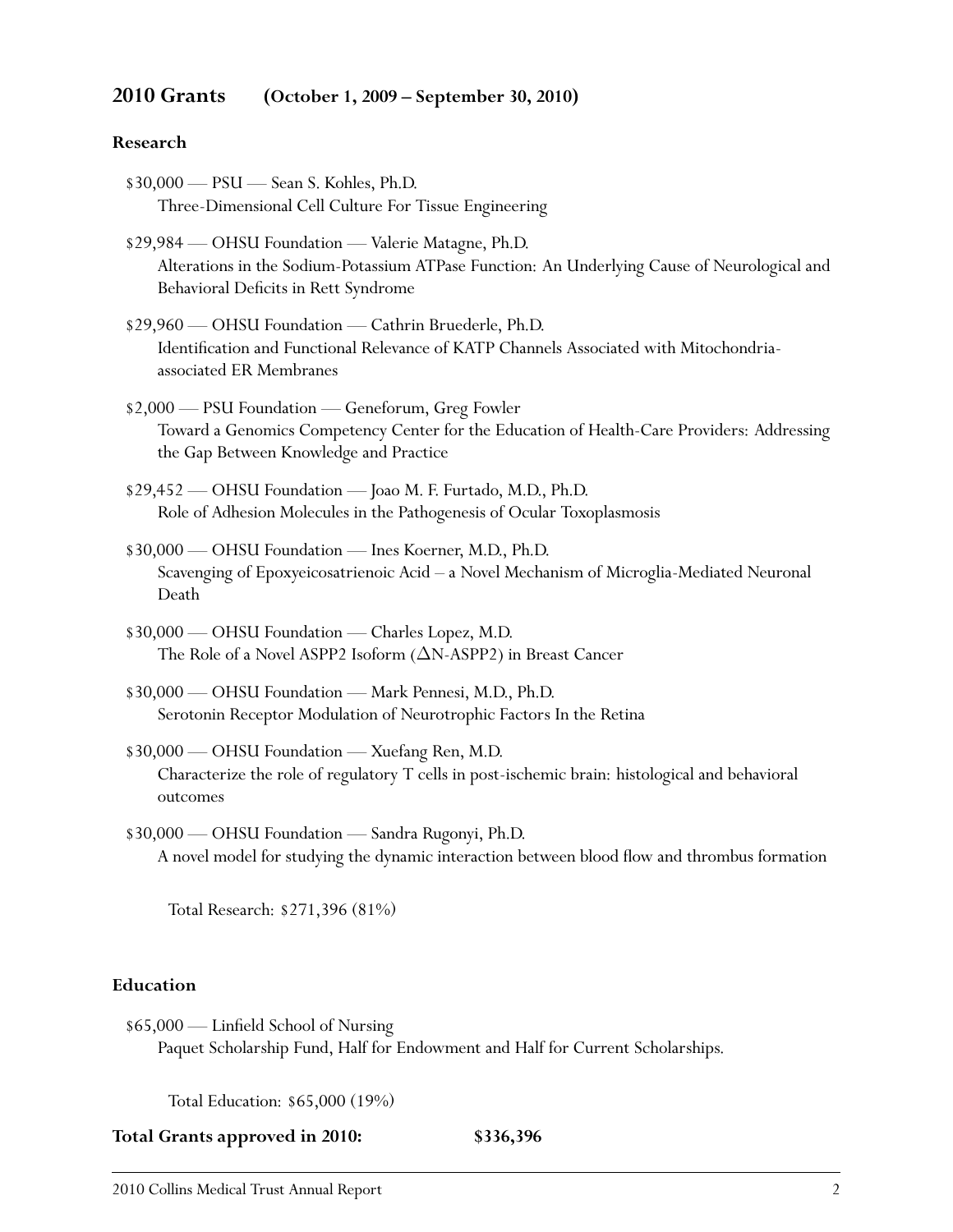#### **2010 Grants (October 1, 2009 – September 30, 2010)**

#### **Research**

- \$30,000 PSU Sean S. Kohles, Ph.D. Three-Dimensional Cell Culture For Tissue Engineering
- \$29,984 OHSU Foundation Valerie Matagne, Ph.D. Alterations in the Sodium-Potassium ATPase Function: An Underlying Cause of Neurological and Behavioral Deficits in Rett Syndrome
- \$29,960 OHSU Foundation Cathrin Bruederle, Ph.D. Identification and Functional Relevance of KATP Channels Associated with Mitochondriaassociated ER Membranes
- \$2,000 PSU Foundation Geneforum, Greg Fowler Toward a Genomics Competency Center for the Education of Health-Care Providers: Addressing the Gap Between Knowledge and Practice
- \$29,452 OHSU Foundation Joao M. F. Furtado, M.D., Ph.D. Role of Adhesion Molecules in the Pathogenesis of Ocular Toxoplasmosis
- \$30,000 OHSU Foundation Ines Koerner, M.D., Ph.D. Scavenging of Epoxyeicosatrienoic Acid – a Novel Mechanism of Microglia-Mediated Neuronal Death
- \$30,000 OHSU Foundation Charles Lopez, M.D. The Role of a Novel ASPP2 Isoform (∆N-ASPP2) in Breast Cancer
- \$30,000 OHSU Foundation Mark Pennesi, M.D., Ph.D. Serotonin Receptor Modulation of Neurotrophic Factors In the Retina
- \$30,000 OHSU Foundation Xuefang Ren, M.D. Characterize the role of regulatory T cells in post-ischemic brain: histological and behavioral outcomes
- \$30,000 OHSU Foundation Sandra Rugonyi, Ph.D. A novel model for studying the dynamic interaction between blood flow and thrombus formation

Total Research: \$271,396 (81%)

#### **Education**

\$65,000 — Linfield School of Nursing Paquet Scholarship Fund, Half for Endowment and Half for Current Scholarships.

Total Education: \$65,000 (19%)

**Total Grants approved in 2010: \$336,396**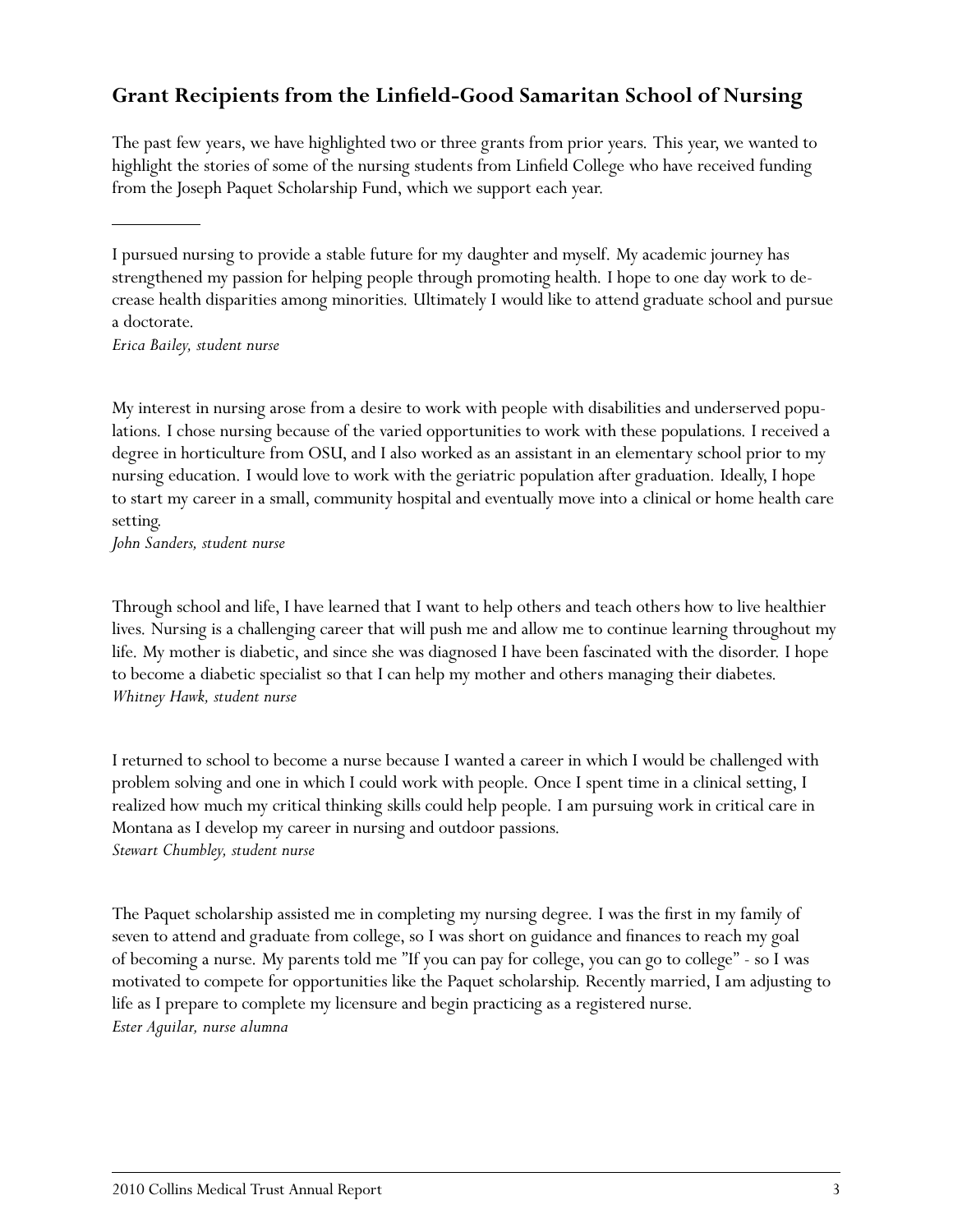# **Grant Recipients from the Linfield-Good Samaritan School of Nursing**

The past few years, we have highlighted two or three grants from prior years. This year, we wanted to highlight the stories of some of the nursing students from Linfield College who have received funding from the Joseph Paquet Scholarship Fund, which we support each year.

I pursued nursing to provide a stable future for my daughter and myself. My academic journey has strengthened my passion for helping people through promoting health. I hope to one day work to decrease health disparities among minorities. Ultimately I would like to attend graduate school and pursue a doctorate.

*Erica Bailey, student nurse*

My interest in nursing arose from a desire to work with people with disabilities and underserved populations. I chose nursing because of the varied opportunities to work with these populations. I received a degree in horticulture from OSU, and I also worked as an assistant in an elementary school prior to my nursing education. I would love to work with the geriatric population after graduation. Ideally, I hope to start my career in a small, community hospital and eventually move into a clinical or home health care setting.

*John Sanders, student nurse*

Through school and life, I have learned that I want to help others and teach others how to live healthier lives. Nursing is a challenging career that will push me and allow me to continue learning throughout my life. My mother is diabetic, and since she was diagnosed I have been fascinated with the disorder. I hope to become a diabetic specialist so that I can help my mother and others managing their diabetes. *Whitney Hawk, student nurse*

I returned to school to become a nurse because I wanted a career in which I would be challenged with problem solving and one in which I could work with people. Once I spent time in a clinical setting, I realized how much my critical thinking skills could help people. I am pursuing work in critical care in Montana as I develop my career in nursing and outdoor passions. *Stewart Chumbley, student nurse*

The Paquet scholarship assisted me in completing my nursing degree. I was the first in my family of seven to attend and graduate from college, so I was short on guidance and finances to reach my goal of becoming a nurse. My parents told me "If you can pay for college, you can go to college" - so I was motivated to compete for opportunities like the Paquet scholarship. Recently married, I am adjusting to life as I prepare to complete my licensure and begin practicing as a registered nurse. *Ester Aguilar, nurse alumna*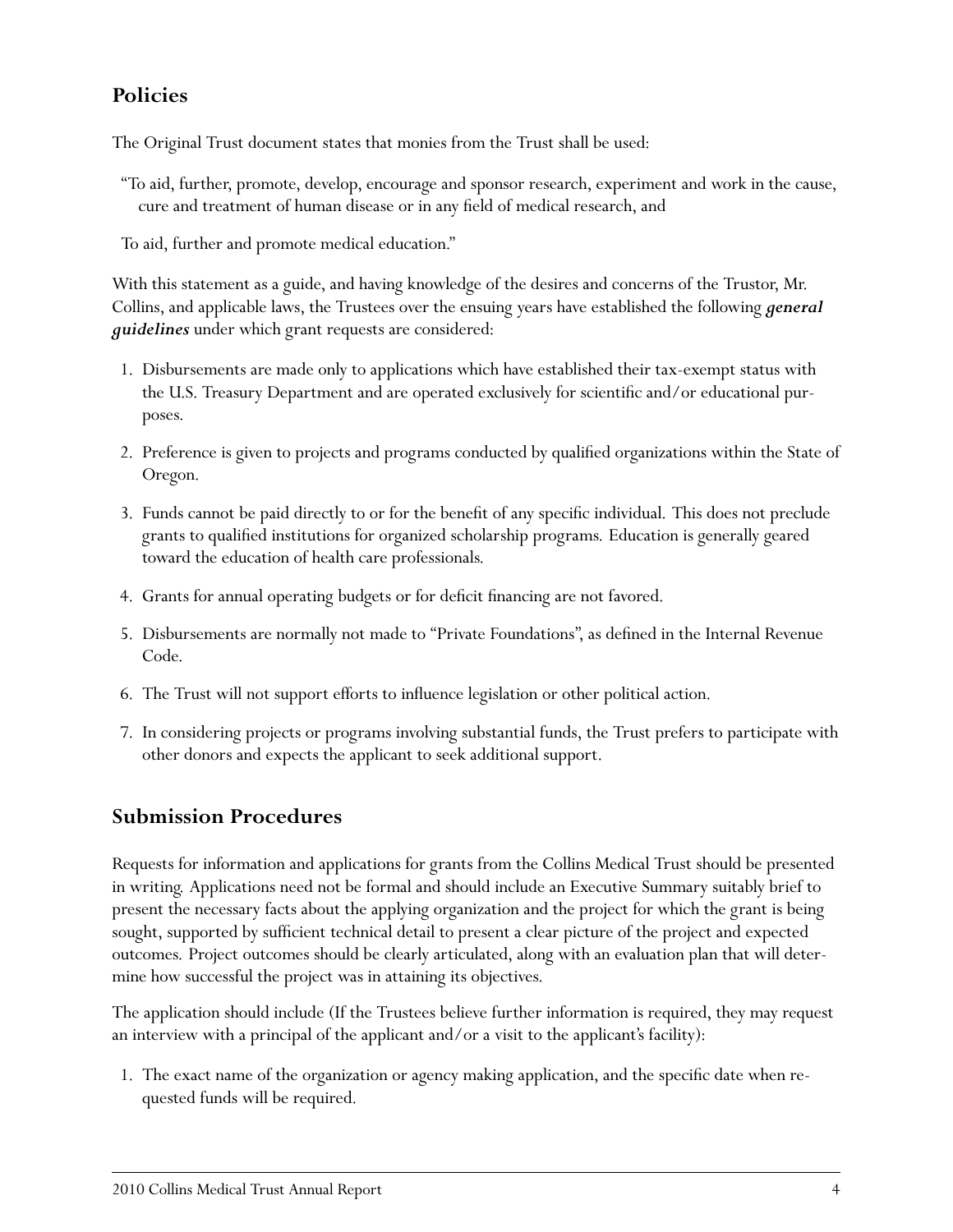# **Policies**

The Original Trust document states that monies from the Trust shall be used:

"To aid, further, promote, develop, encourage and sponsor research, experiment and work in the cause, cure and treatment of human disease or in any field of medical research, and

To aid, further and promote medical education."

With this statement as a guide, and having knowledge of the desires and concerns of the Trustor, Mr. Collins, and applicable laws, the Trustees over the ensuing years have established the following *general guidelines* under which grant requests are considered:

- 1. Disbursements are made only to applications which have established their tax-exempt status with the U.S. Treasury Department and are operated exclusively for scientific and/or educational purposes.
- 2. Preference is given to projects and programs conducted by qualified organizations within the State of Oregon.
- 3. Funds cannot be paid directly to or for the benefit of any specific individual. This does not preclude grants to qualified institutions for organized scholarship programs. Education is generally geared toward the education of health care professionals.
- 4. Grants for annual operating budgets or for deficit financing are not favored.
- 5. Disbursements are normally not made to "Private Foundations", as defined in the Internal Revenue Code.
- 6. The Trust will not support efforts to influence legislation or other political action.
- 7. In considering projects or programs involving substantial funds, the Trust prefers to participate with other donors and expects the applicant to seek additional support.

## **Submission Procedures**

Requests for information and applications for grants from the Collins Medical Trust should be presented in writing. Applications need not be formal and should include an Executive Summary suitably brief to present the necessary facts about the applying organization and the project for which the grant is being sought, supported by sufficient technical detail to present a clear picture of the project and expected outcomes. Project outcomes should be clearly articulated, along with an evaluation plan that will determine how successful the project was in attaining its objectives.

The application should include (If the Trustees believe further information is required, they may request an interview with a principal of the applicant and/or a visit to the applicant's facility):

1. The exact name of the organization or agency making application, and the specific date when requested funds will be required.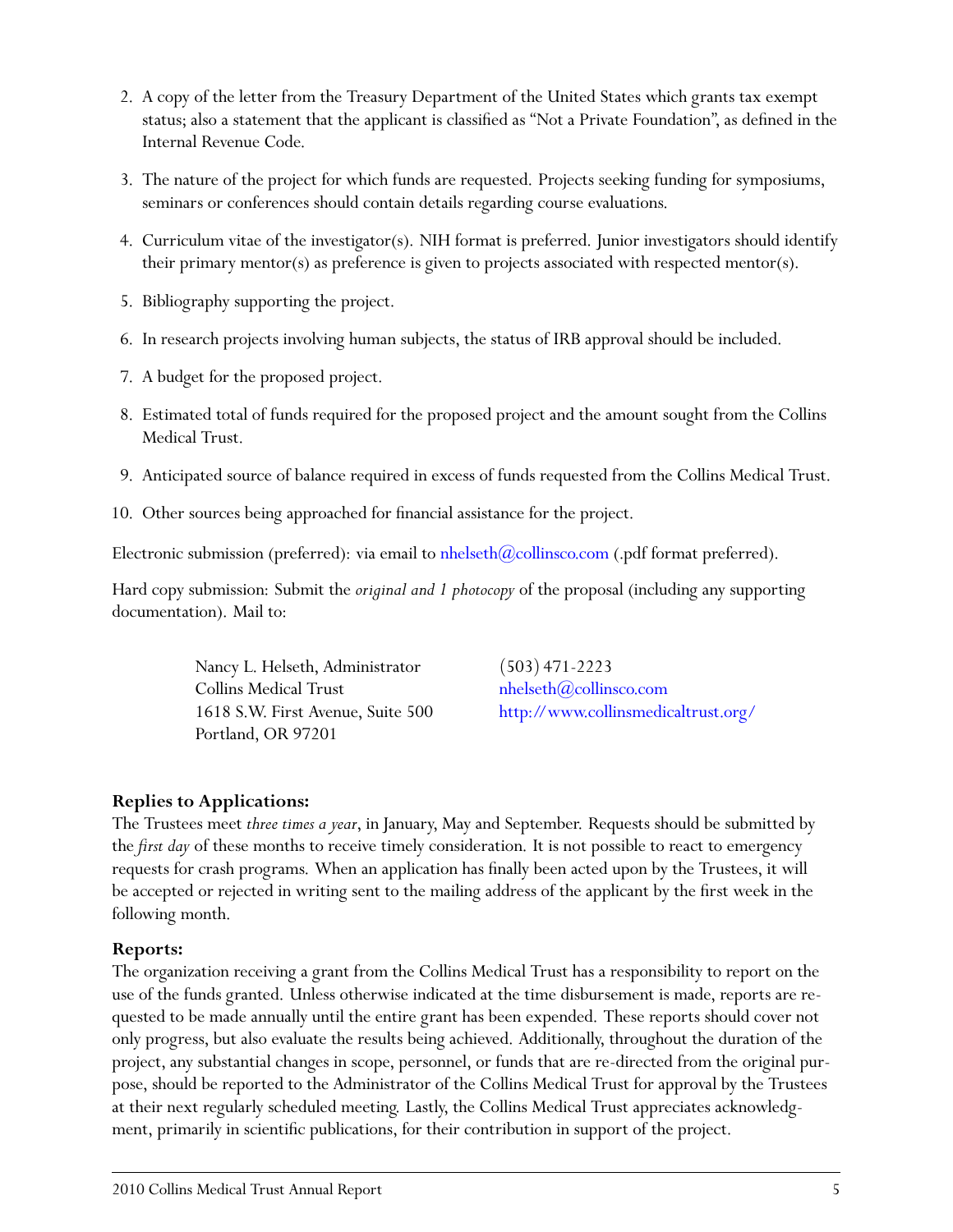- 2. A copy of the letter from the Treasury Department of the United States which grants tax exempt status; also a statement that the applicant is classified as "Not a Private Foundation", as defined in the Internal Revenue Code.
- 3. The nature of the project for which funds are requested. Projects seeking funding for symposiums, seminars or conferences should contain details regarding course evaluations.
- 4. Curriculum vitae of the investigator(s). NIH format is preferred. Junior investigators should identify their primary mentor(s) as preference is given to projects associated with respected mentor(s).
- 5. Bibliography supporting the project.
- 6. In research projects involving human subjects, the status of IRB approval should be included.
- 7. A budget for the proposed project.
- 8. Estimated total of funds required for the proposed project and the amount sought from the Collins Medical Trust.
- 9. Anticipated source of balance required in excess of funds requested from the Collins Medical Trust.
- 10. Other sources being approached for financial assistance for the project.

Electronic submission (preferred): via email to nhelseth $(\partial\text{collinsco.com}$  (.pdf format preferred).

Hard copy submission: Submit the *original and 1 photocopy* of the proposal (including any supporting documentation). Mail to:

> Nancy L. Helseth, Administrator (503) 471-2223  $\text{Collins Medical Trust}$  nhelseth $@$ collinsco.com Portland, OR 97201

1618 S.W. First Avenue, Suite 500 <http://www.collinsmedicaltrust.org/>

#### **Replies to Applications:**

The Trustees meet *three times a year*, in January, May and September. Requests should be submitted by the *first day* of these months to receive timely consideration. It is not possible to react to emergency requests for crash programs. When an application has finally been acted upon by the Trustees, it will be accepted or rejected in writing sent to the mailing address of the applicant by the first week in the following month.

#### **Reports:**

The organization receiving a grant from the Collins Medical Trust has a responsibility to report on the use of the funds granted. Unless otherwise indicated at the time disbursement is made, reports are requested to be made annually until the entire grant has been expended. These reports should cover not only progress, but also evaluate the results being achieved. Additionally, throughout the duration of the project, any substantial changes in scope, personnel, or funds that are re-directed from the original purpose, should be reported to the Administrator of the Collins Medical Trust for approval by the Trustees at their next regularly scheduled meeting. Lastly, the Collins Medical Trust appreciates acknowledgment, primarily in scientific publications, for their contribution in support of the project.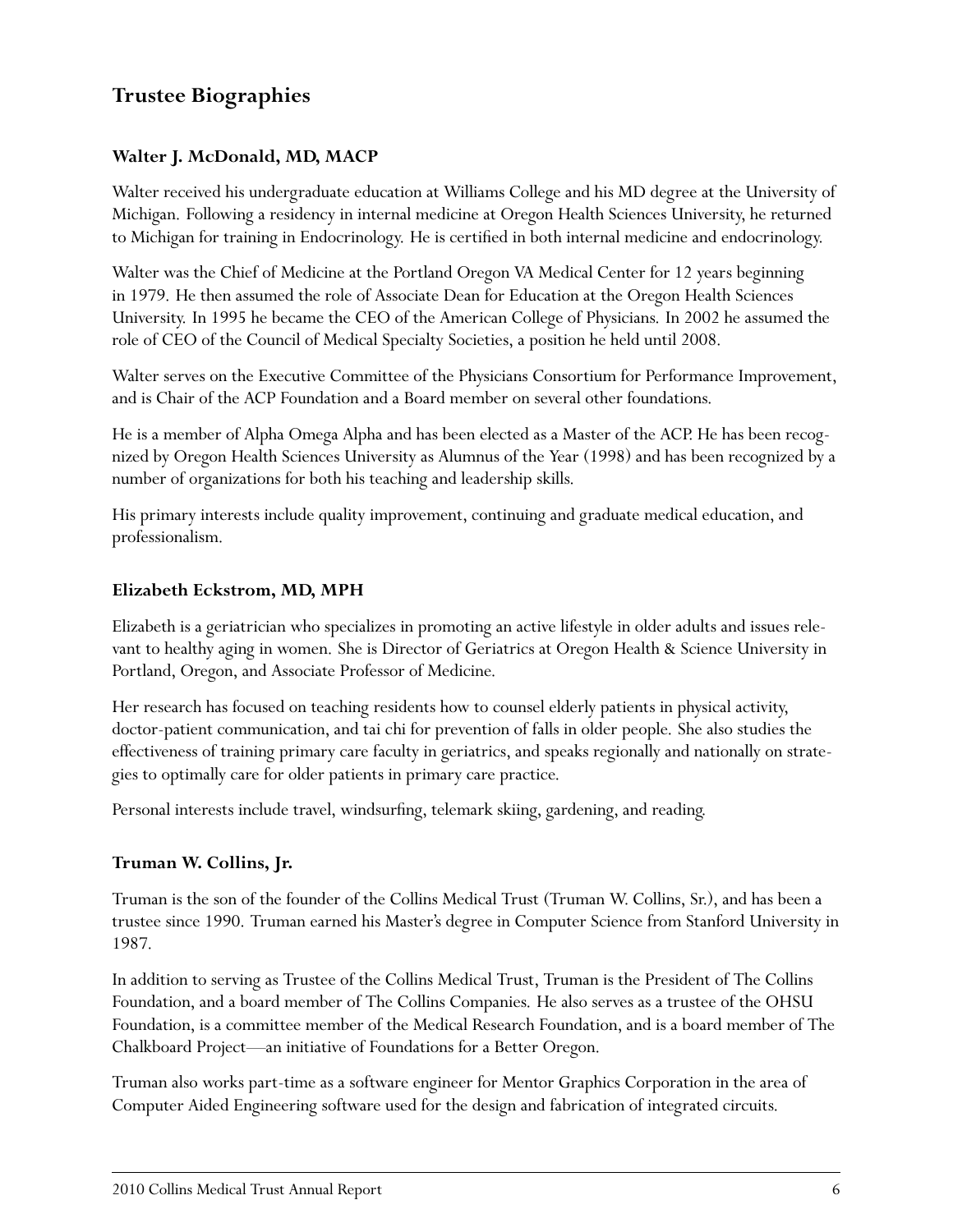# **Trustee Biographies**

#### **Walter J. McDonald, MD, MACP**

Walter received his undergraduate education at Williams College and his MD degree at the University of Michigan. Following a residency in internal medicine at Oregon Health Sciences University, he returned to Michigan for training in Endocrinology. He is certified in both internal medicine and endocrinology.

Walter was the Chief of Medicine at the Portland Oregon VA Medical Center for 12 years beginning in 1979. He then assumed the role of Associate Dean for Education at the Oregon Health Sciences University. In 1995 he became the CEO of the American College of Physicians. In 2002 he assumed the role of CEO of the Council of Medical Specialty Societies, a position he held until 2008.

Walter serves on the Executive Committee of the Physicians Consortium for Performance Improvement, and is Chair of the ACP Foundation and a Board member on several other foundations.

He is a member of Alpha Omega Alpha and has been elected as a Master of the ACP. He has been recognized by Oregon Health Sciences University as Alumnus of the Year (1998) and has been recognized by a number of organizations for both his teaching and leadership skills.

His primary interests include quality improvement, continuing and graduate medical education, and professionalism.

#### **Elizabeth Eckstrom, MD, MPH**

Elizabeth is a geriatrician who specializes in promoting an active lifestyle in older adults and issues relevant to healthy aging in women. She is Director of Geriatrics at Oregon Health & Science University in Portland, Oregon, and Associate Professor of Medicine.

Her research has focused on teaching residents how to counsel elderly patients in physical activity, doctor-patient communication, and tai chi for prevention of falls in older people. She also studies the effectiveness of training primary care faculty in geriatrics, and speaks regionally and nationally on strategies to optimally care for older patients in primary care practice.

Personal interests include travel, windsurfing, telemark skiing, gardening, and reading.

#### **Truman W. Collins, Jr.**

Truman is the son of the founder of the Collins Medical Trust (Truman W. Collins, Sr.), and has been a trustee since 1990. Truman earned his Master's degree in Computer Science from Stanford University in 1987.

In addition to serving as Trustee of the Collins Medical Trust, Truman is the President of The Collins Foundation, and a board member of The Collins Companies. He also serves as a trustee of the OHSU Foundation, is a committee member of the Medical Research Foundation, and is a board member of The Chalkboard Project—an initiative of Foundations for a Better Oregon.

Truman also works part-time as a software engineer for Mentor Graphics Corporation in the area of Computer Aided Engineering software used for the design and fabrication of integrated circuits.